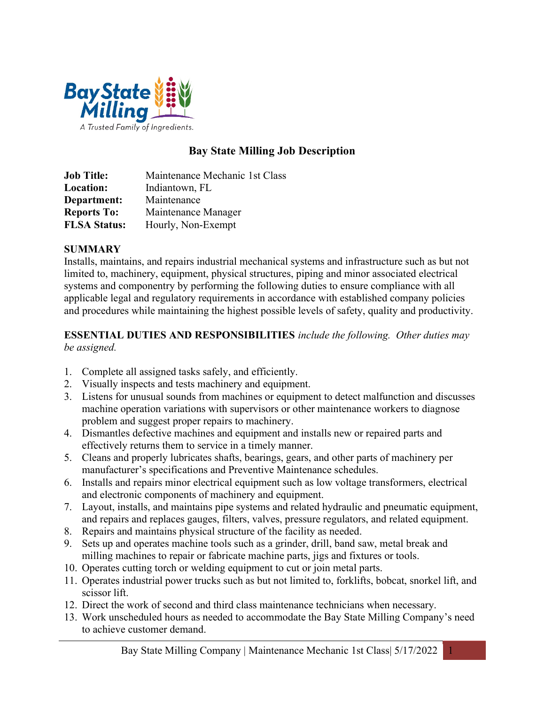

# Bay State Milling Job Description

Job Title: Maintenance Mechanic 1st Class Location: Indiantown, FL Department: Maintenance Reports To: Maintenance Manager FLSA Status: Hourly, Non-Exempt

#### **SUMMARY**

Installs, maintains, and repairs industrial mechanical systems and infrastructure such as but not limited to, machinery, equipment, physical structures, piping and minor associated electrical systems and componentry by performing the following duties to ensure compliance with all applicable legal and regulatory requirements in accordance with established company policies and procedures while maintaining the highest possible levels of safety, quality and productivity.

#### ESSENTIAL DUTIES AND RESPONSIBILITIES include the following. Other duties may be assigned.

- 1. Complete all assigned tasks safely, and efficiently.
- 2. Visually inspects and tests machinery and equipment.
- 3. Listens for unusual sounds from machines or equipment to detect malfunction and discusses machine operation variations with supervisors or other maintenance workers to diagnose problem and suggest proper repairs to machinery.
- 4. Dismantles defective machines and equipment and installs new or repaired parts and effectively returns them to service in a timely manner.
- 5. Cleans and properly lubricates shafts, bearings, gears, and other parts of machinery per manufacturer's specifications and Preventive Maintenance schedules.
- 6. Installs and repairs minor electrical equipment such as low voltage transformers, electrical and electronic components of machinery and equipment.
- 7. Layout, installs, and maintains pipe systems and related hydraulic and pneumatic equipment, and repairs and replaces gauges, filters, valves, pressure regulators, and related equipment.
- 8. Repairs and maintains physical structure of the facility as needed.
- 9. Sets up and operates machine tools such as a grinder, drill, band saw, metal break and milling machines to repair or fabricate machine parts, jigs and fixtures or tools.
- 10. Operates cutting torch or welding equipment to cut or join metal parts.
- 11. Operates industrial power trucks such as but not limited to, forklifts, bobcat, snorkel lift, and scissor lift.
- 12. Direct the work of second and third class maintenance technicians when necessary.
- 13. Work unscheduled hours as needed to accommodate the Bay State Milling Company's need to achieve customer demand.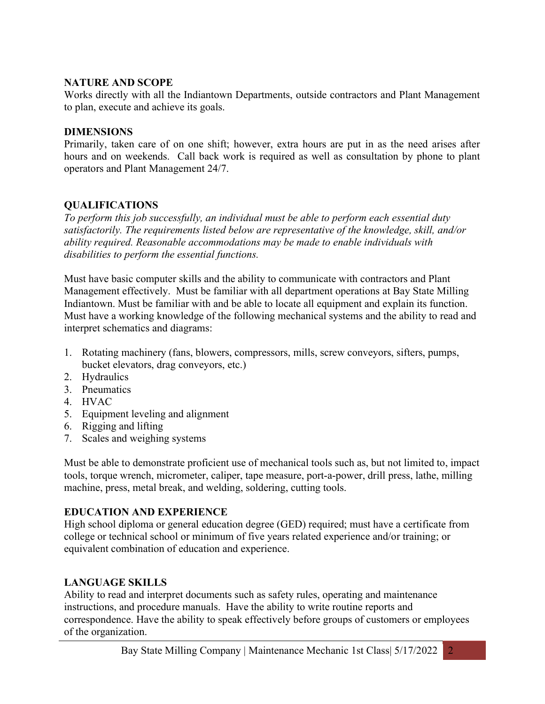#### NATURE AND SCOPE

Works directly with all the Indiantown Departments, outside contractors and Plant Management to plan, execute and achieve its goals.

#### DIMENSIONS

Primarily, taken care of on one shift; however, extra hours are put in as the need arises after hours and on weekends. Call back work is required as well as consultation by phone to plant operators and Plant Management 24/7.

### QUALIFICATIONS

To perform this job successfully, an individual must be able to perform each essential duty satisfactorily. The requirements listed below are representative of the knowledge, skill, and/or ability required. Reasonable accommodations may be made to enable individuals with disabilities to perform the essential functions.

Must have basic computer skills and the ability to communicate with contractors and Plant Management effectively. Must be familiar with all department operations at Bay State Milling Indiantown. Must be familiar with and be able to locate all equipment and explain its function. Must have a working knowledge of the following mechanical systems and the ability to read and interpret schematics and diagrams:

- 1. Rotating machinery (fans, blowers, compressors, mills, screw conveyors, sifters, pumps, bucket elevators, drag conveyors, etc.)
- 2. Hydraulics
- 3. Pneumatics
- 4. HVAC
- 5. Equipment leveling and alignment
- 6. Rigging and lifting
- 7. Scales and weighing systems

Must be able to demonstrate proficient use of mechanical tools such as, but not limited to, impact tools, torque wrench, micrometer, caliper, tape measure, port-a-power, drill press, lathe, milling machine, press, metal break, and welding, soldering, cutting tools.

### EDUCATION AND EXPERIENCE

High school diploma or general education degree (GED) required; must have a certificate from college or technical school or minimum of five years related experience and/or training; or equivalent combination of education and experience.

### LANGUAGE SKILLS

Ability to read and interpret documents such as safety rules, operating and maintenance instructions, and procedure manuals. Have the ability to write routine reports and correspondence. Have the ability to speak effectively before groups of customers or employees of the organization.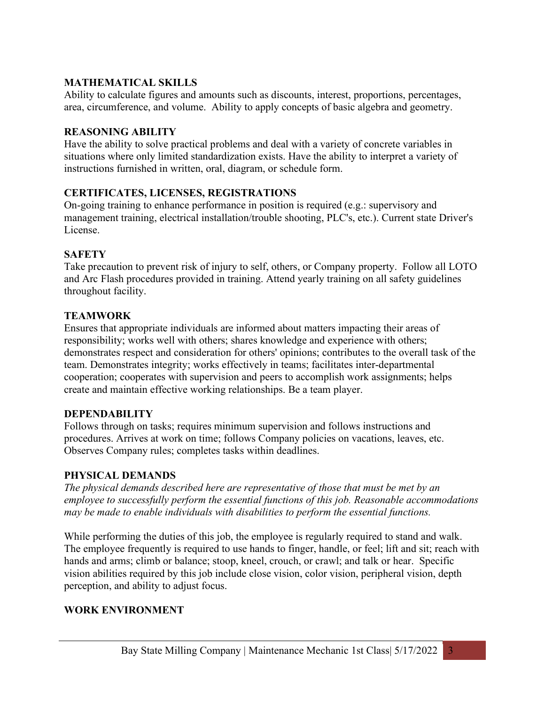# MATHEMATICAL SKILLS

Ability to calculate figures and amounts such as discounts, interest, proportions, percentages, area, circumference, and volume. Ability to apply concepts of basic algebra and geometry.

# REASONING ABILITY

Have the ability to solve practical problems and deal with a variety of concrete variables in situations where only limited standardization exists. Have the ability to interpret a variety of instructions furnished in written, oral, diagram, or schedule form.

# CERTIFICATES, LICENSES, REGISTRATIONS

On-going training to enhance performance in position is required (e.g.: supervisory and management training, electrical installation/trouble shooting, PLC's, etc.). Current state Driver's License.

# **SAFETY**

Take precaution to prevent risk of injury to self, others, or Company property. Follow all LOTO and Arc Flash procedures provided in training. Attend yearly training on all safety guidelines throughout facility.

# **TEAMWORK**

Ensures that appropriate individuals are informed about matters impacting their areas of responsibility; works well with others; shares knowledge and experience with others; demonstrates respect and consideration for others' opinions; contributes to the overall task of the team. Demonstrates integrity; works effectively in teams; facilitates inter-departmental cooperation; cooperates with supervision and peers to accomplish work assignments; helps create and maintain effective working relationships. Be a team player.

### DEPENDABILITY

Follows through on tasks; requires minimum supervision and follows instructions and procedures. Arrives at work on time; follows Company policies on vacations, leaves, etc. Observes Company rules; completes tasks within deadlines.

### PHYSICAL DEMANDS

The physical demands described here are representative of those that must be met by an employee to successfully perform the essential functions of this job. Reasonable accommodations may be made to enable individuals with disabilities to perform the essential functions.

While performing the duties of this job, the employee is regularly required to stand and walk. The employee frequently is required to use hands to finger, handle, or feel; lift and sit; reach with hands and arms; climb or balance; stoop, kneel, crouch, or crawl; and talk or hear. Specific vision abilities required by this job include close vision, color vision, peripheral vision, depth perception, and ability to adjust focus.

# WORK ENVIRONMENT